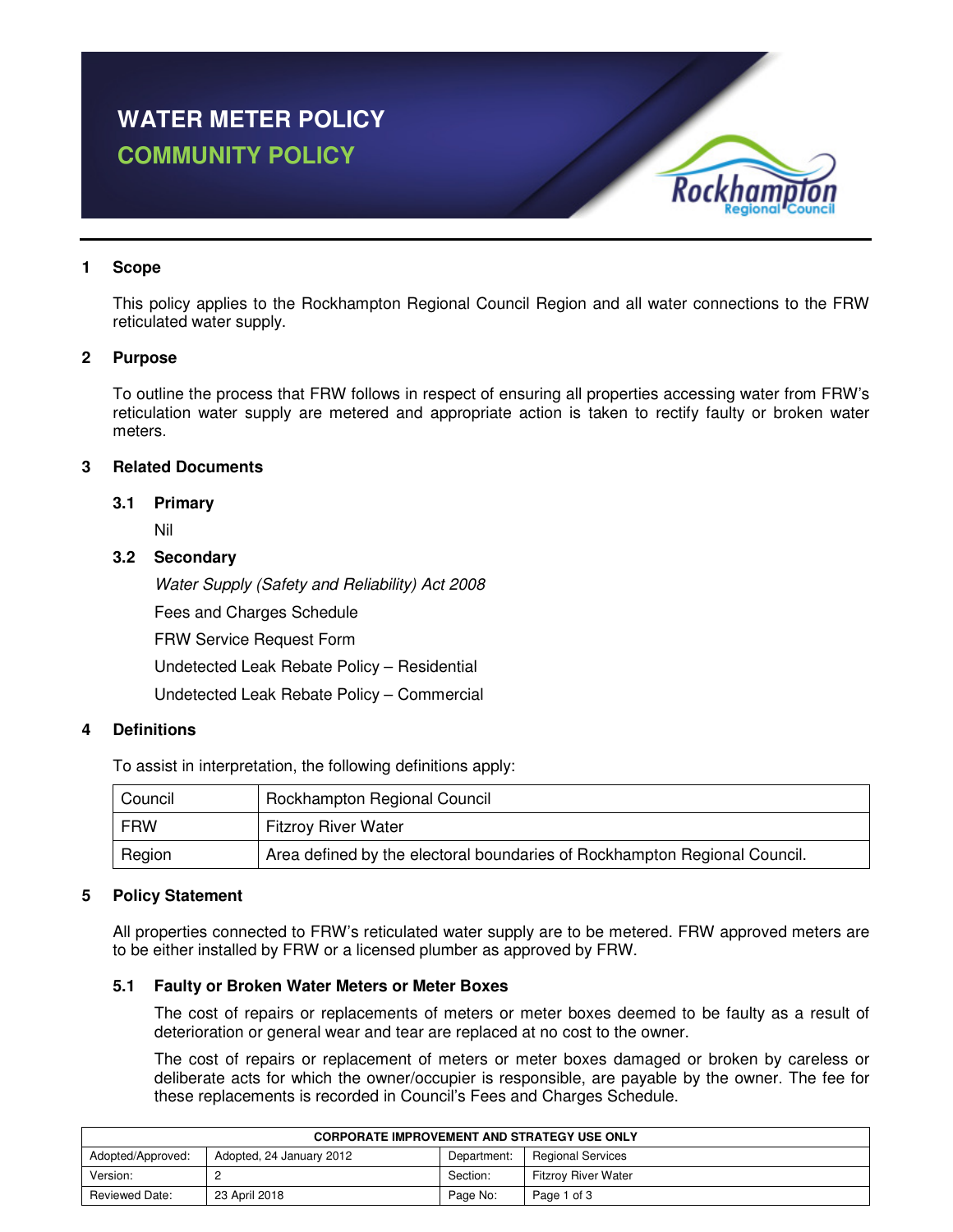

# **1 Scope**

This policy applies to the Rockhampton Regional Council Region and all water connections to the FRW reticulated water supply.

# **2 Purpose**

To outline the process that FRW follows in respect of ensuring all properties accessing water from FRW's reticulation water supply are metered and appropriate action is taken to rectify faulty or broken water meters.

# **3 Related Documents**

#### **3.1 Primary**

Nil

# **3.2 Secondary**

Water Supply (Safety and Reliability) Act 2008

Fees and Charges Schedule FRW Service Request Form

Undetected Leak Rebate Policy – Residential

Undetected Leak Rebate Policy – Commercial

# **4 Definitions**

To assist in interpretation, the following definitions apply:

| Council | Rockhampton Regional Council                                              |
|---------|---------------------------------------------------------------------------|
| FRW     | <b>Fitzroy River Water</b>                                                |
| Region  | Area defined by the electoral boundaries of Rockhampton Regional Council. |

#### **5 Policy Statement**

All properties connected to FRW's reticulated water supply are to be metered. FRW approved meters are to be either installed by FRW or a licensed plumber as approved by FRW.

#### **5.1 Faulty or Broken Water Meters or Meter Boxes**

The cost of repairs or replacements of meters or meter boxes deemed to be faulty as a result of deterioration or general wear and tear are replaced at no cost to the owner.

The cost of repairs or replacement of meters or meter boxes damaged or broken by careless or deliberate acts for which the owner/occupier is responsible, are payable by the owner. The fee for these replacements is recorded in Council's Fees and Charges Schedule.

| <b>CORPORATE IMPROVEMENT AND STRATEGY USE ONLY</b> |                          |             |                          |  |  |  |
|----------------------------------------------------|--------------------------|-------------|--------------------------|--|--|--|
| Adopted/Approved:                                  | Adopted, 24 January 2012 | Department: | <b>Regional Services</b> |  |  |  |
| Version:                                           |                          | Section:    | Fitzroy River Water      |  |  |  |
| <b>Reviewed Date:</b>                              | 23 April 2018            | Page No:    | Page 1 of 3              |  |  |  |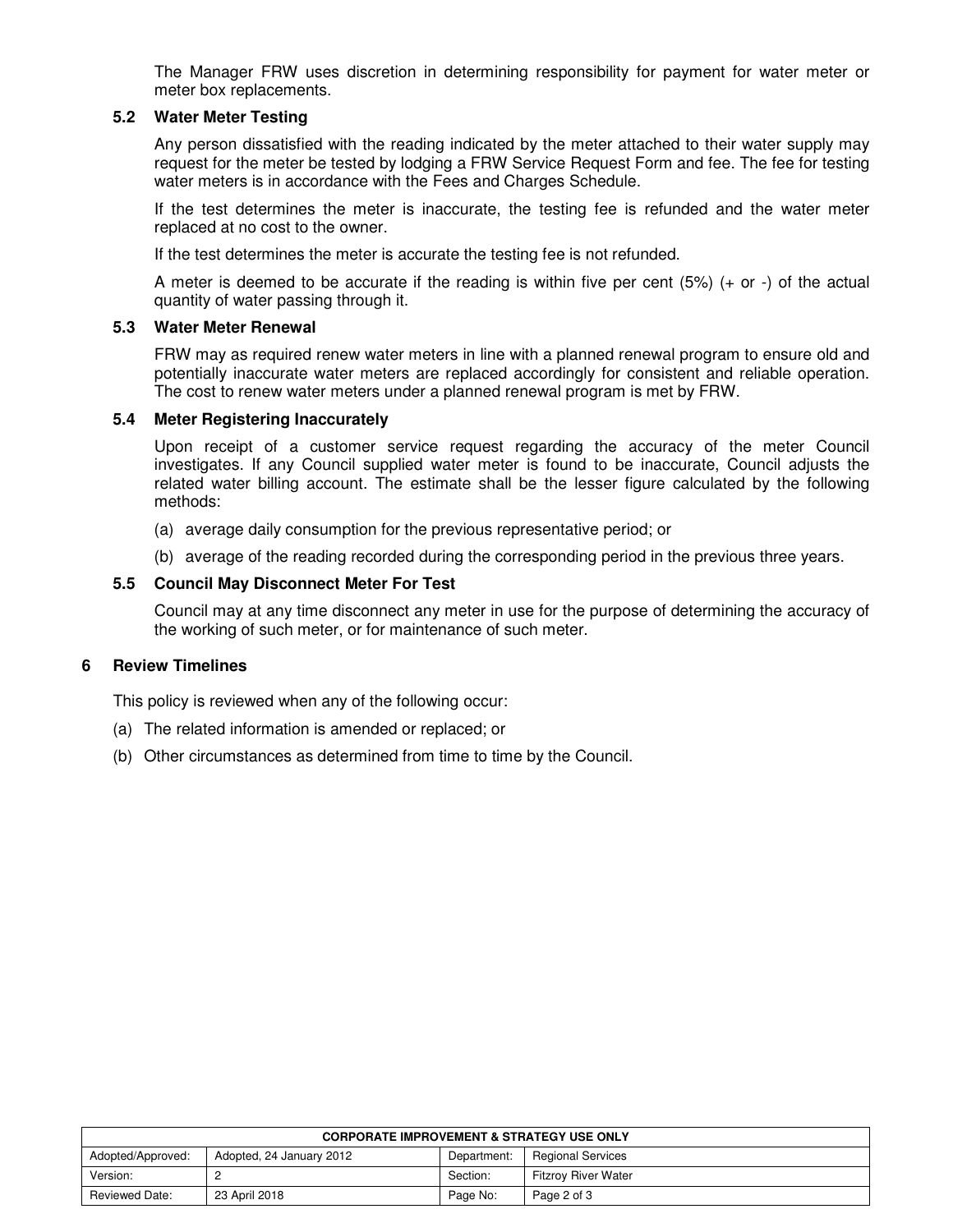The Manager FRW uses discretion in determining responsibility for payment for water meter or meter box replacements.

## **5.2 Water Meter Testing**

Any person dissatisfied with the reading indicated by the meter attached to their water supply may request for the meter be tested by lodging a FRW Service Request Form and fee. The fee for testing water meters is in accordance with the Fees and Charges Schedule.

If the test determines the meter is inaccurate, the testing fee is refunded and the water meter replaced at no cost to the owner.

If the test determines the meter is accurate the testing fee is not refunded.

A meter is deemed to be accurate if the reading is within five per cent  $(5%)$  (+ or -) of the actual quantity of water passing through it.

#### **5.3 Water Meter Renewal**

FRW may as required renew water meters in line with a planned renewal program to ensure old and potentially inaccurate water meters are replaced accordingly for consistent and reliable operation. The cost to renew water meters under a planned renewal program is met by FRW.

# **5.4 Meter Registering Inaccurately**

Upon receipt of a customer service request regarding the accuracy of the meter Council investigates. If any Council supplied water meter is found to be inaccurate, Council adjusts the related water billing account. The estimate shall be the lesser figure calculated by the following methods:

- (a) average daily consumption for the previous representative period; or
- (b) average of the reading recorded during the corresponding period in the previous three years.

# **5.5 Council May Disconnect Meter For Test**

Council may at any time disconnect any meter in use for the purpose of determining the accuracy of the working of such meter, or for maintenance of such meter.

#### **6 Review Timelines**

This policy is reviewed when any of the following occur:

- (a) The related information is amended or replaced; or
- (b) Other circumstances as determined from time to time by the Council.

| <b>CORPORATE IMPROVEMENT &amp; STRATEGY USE ONLY</b> |                          |             |                          |  |  |
|------------------------------------------------------|--------------------------|-------------|--------------------------|--|--|
| Adopted/Approved:                                    | Adopted, 24 January 2012 | Department: | <b>Regional Services</b> |  |  |
| Version:                                             |                          | Section:    | Fitzrov River Water      |  |  |
| <b>Reviewed Date:</b>                                | 23 April 2018            | Page No:    | Page 2 of 3              |  |  |